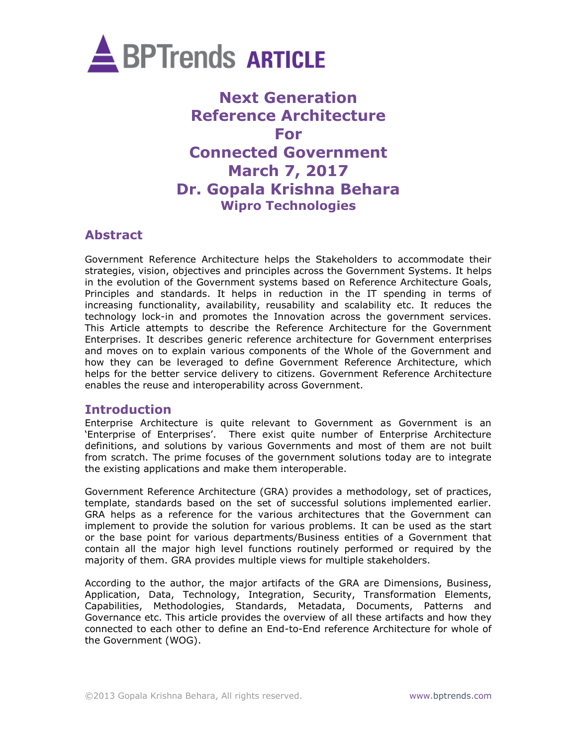

# **Next Generation Reference Architecture For Connected Government March 7, 2017 Dr. Gopala Krishna Behara Wipro Technologies**

# **Abstract**

Government Reference Architecture helps the Stakeholders to accommodate their strategies, vision, objectives and principles across the Government Systems. It helps in the evolution of the Government systems based on Reference Architecture Goals, Principles and standards. It helps in reduction in the IT spending in terms of increasing functionality, availability, reusability and scalability etc. It reduces the technology lock-in and promotes the Innovation across the government services. This Article attempts to describe the Reference Architecture for the Government Enterprises. It describes generic reference architecture for Government enterprises and moves on to explain various components of the Whole of the Government and how they can be leveraged to define Government Reference Architecture, which helps for the better service delivery to citizens. Government Reference Architecture enables the reuse and interoperability across Government.

# **Introduction**

Enterprise Architecture is quite relevant to Government as Government is an 'Enterprise of Enterprises'. There exist quite number of Enterprise Architecture definitions, and solutions by various Governments and most of them are not built from scratch. The prime focuses of the government solutions today are to integrate the existing applications and make them interoperable.

Government Reference Architecture (GRA) provides a methodology, set of practices, template, standards based on the set of successful solutions implemented earlier. GRA helps as a reference for the various architectures that the Government can implement to provide the solution for various problems. It can be used as the start or the base point for various departments/Business entities of a Government that contain all the major high level functions routinely performed or required by the majority of them. GRA provides multiple views for multiple stakeholders.

According to the author, the major artifacts of the GRA are Dimensions, Business, Application, Data, Technology, Integration, Security, Transformation Elements, Capabilities, Methodologies, Standards, Metadata, Documents, Patterns and Governance etc. This article provides the overview of all these artifacts and how they connected to each other to define an End-to-End reference Architecture for whole of the Government (WOG).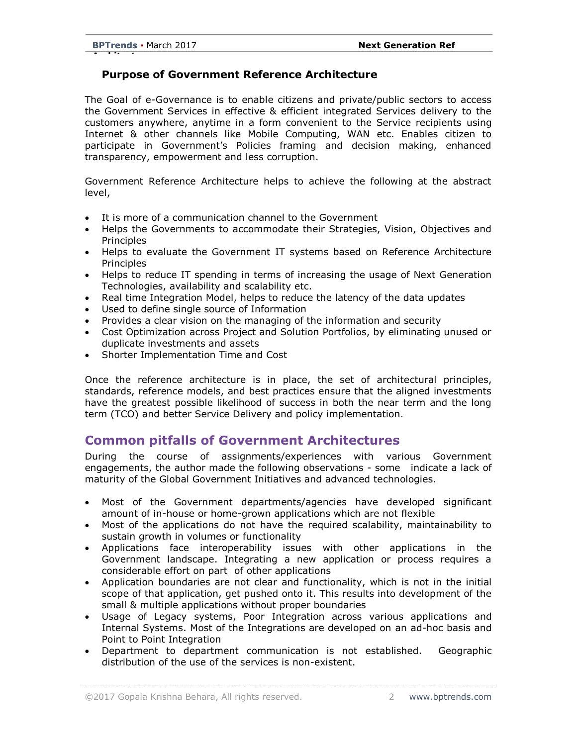## **Purpose of Government Reference Architecture**

The Goal of e-Governance is to enable citizens and private/public sectors to access the Government Services in effective & efficient integrated Services delivery to the customers anywhere, anytime in a form convenient to the Service recipients using Internet & other channels like Mobile Computing, WAN etc. Enables citizen to participate in Government's Policies framing and decision making, enhanced transparency, empowerment and less corruption.

Government Reference Architecture helps to achieve the following at the abstract level,

- It is more of a communication channel to the Government
- Helps the Governments to accommodate their Strategies, Vision, Objectives and **Principles**
- Helps to evaluate the Government IT systems based on Reference Architecture **Principles**
- Helps to reduce IT spending in terms of increasing the usage of Next Generation Technologies, availability and scalability etc.
- Real time Integration Model, helps to reduce the latency of the data updates
- Used to define single source of Information
- Provides a clear vision on the managing of the information and security
- Cost Optimization across Project and Solution Portfolios, by eliminating unused or duplicate investments and assets
- Shorter Implementation Time and Cost

Once the reference architecture is in place, the set of architectural principles, standards, reference models, and best practices ensure that the aligned investments have the greatest possible likelihood of success in both the near term and the long term (TCO) and better Service Delivery and policy implementation.

# **Common pitfalls of Government Architectures**

During the course of assignments/experiences with various Government engagements, the author made the following observations - some indicate a lack of maturity of the Global Government Initiatives and advanced technologies.

- Most of the Government departments/agencies have developed significant amount of in-house or home-grown applications which are not flexible
- Most of the applications do not have the required scalability, maintainability to sustain growth in volumes or functionality
- Applications face interoperability issues with other applications in the Government landscape. Integrating a new application or process requires a considerable effort on part of other applications
- Application boundaries are not clear and functionality, which is not in the initial scope of that application, get pushed onto it. This results into development of the small & multiple applications without proper boundaries
- Usage of Legacy systems, Poor Integration across various applications and Internal Systems. Most of the Integrations are developed on an ad-hoc basis and Point to Point Integration
- Department to department communication is not established. Geographic distribution of the use of the services is non-existent.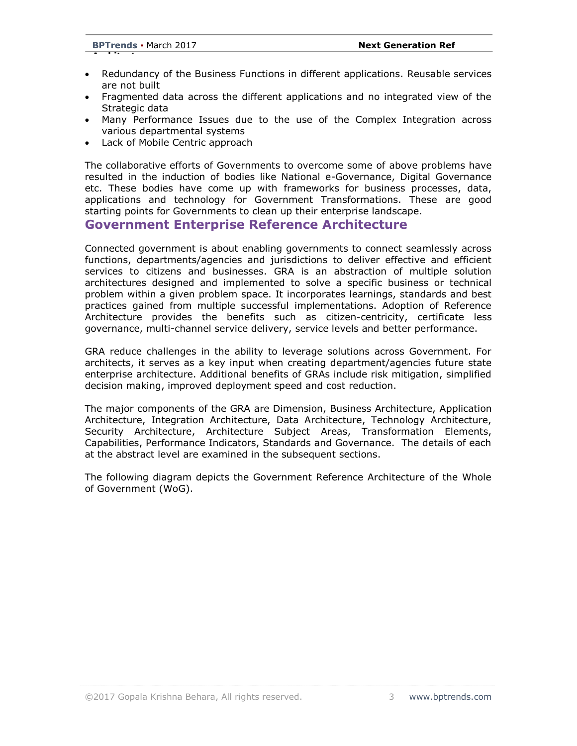- Redundancy of the Business Functions in different applications. Reusable services are not built
- Fragmented data across the different applications and no integrated view of the Strategic data
- Many Performance Issues due to the use of the Complex Integration across various departmental systems
- Lack of Mobile Centric approach

The collaborative efforts of Governments to overcome some of above problems have resulted in the induction of bodies like National e-Governance, Digital Governance etc. These bodies have come up with frameworks for business processes, data, applications and technology for Government Transformations. These are good starting points for Governments to clean up their enterprise landscape.

# **Government Enterprise Reference Architecture**

Connected government is about enabling governments to connect seamlessly across functions, departments/agencies and jurisdictions to deliver effective and efficient services to citizens and businesses. GRA is an abstraction of multiple solution architectures designed and implemented to solve a specific business or technical problem within a given problem space. It incorporates learnings, standards and best practices gained from multiple successful implementations. Adoption of Reference Architecture provides the benefits such as citizen-centricity, certificate less governance, multi-channel service delivery, service levels and better performance.

GRA reduce challenges in the ability to leverage solutions across Government. For architects, it serves as a key input when creating department/agencies future state enterprise architecture. Additional benefits of GRAs include risk mitigation, simplified decision making, improved deployment speed and cost reduction.

The major components of the GRA are Dimension, Business Architecture, Application Architecture, Integration Architecture, Data Architecture, Technology Architecture, Security Architecture, Architecture Subject Areas, Transformation Elements, Capabilities, Performance Indicators, Standards and Governance. The details of each at the abstract level are examined in the subsequent sections.

The following diagram depicts the Government Reference Architecture of the Whole of Government (WoG).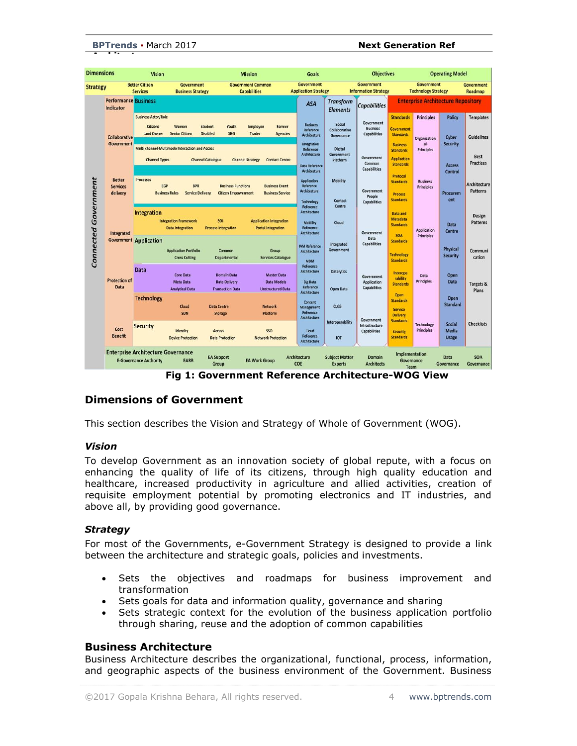#### **BPTrends ▪** March 2017 **Next Generation Ref**

**Architecture**

| <b>Dimensions</b>           |                                                                                                                             | <b>Vision</b>                                                              |                                                                                  | <b>Mission</b>                                                        |                                                                      |  | <b>Goals</b>                                                                                                                                                                                                                  |                                                                                     | <b>Objectives</b>                                                                                              |                                                                                           | <b>Operating Model</b>                                              |                                                                                                 |                                       |
|-----------------------------|-----------------------------------------------------------------------------------------------------------------------------|----------------------------------------------------------------------------|----------------------------------------------------------------------------------|-----------------------------------------------------------------------|----------------------------------------------------------------------|--|-------------------------------------------------------------------------------------------------------------------------------------------------------------------------------------------------------------------------------|-------------------------------------------------------------------------------------|----------------------------------------------------------------------------------------------------------------|-------------------------------------------------------------------------------------------|---------------------------------------------------------------------|-------------------------------------------------------------------------------------------------|---------------------------------------|
| <b>Strategy</b>             | <b>Better Citizen</b><br><b>Services</b>                                                                                    |                                                                            | <b>Government</b><br><b>Business Strategy</b>                                    |                                                                       | <b>Government Common</b><br><b>Capabilities</b>                      |  | Government<br><b>Application Strategy</b>                                                                                                                                                                                     |                                                                                     | Government<br><b>Information Strategy</b>                                                                      | <b>Government</b><br><b>Technology Strategy</b>                                           |                                                                     |                                                                                                 | <b>Government</b><br>Roadmap          |
|                             | <b>Performance Business</b><br>Indicator                                                                                    |                                                                            |                                                                                  |                                                                       |                                                                      |  | <b>Transform</b><br><b>ASA</b><br><b>Elements</b>                                                                                                                                                                             |                                                                                     | <b>Capabilities</b>                                                                                            |                                                                                           |                                                                     | <b>Enterprise Architecture Repository</b>                                                       |                                       |
| <b>Connected Government</b> | Collaborative<br>Government                                                                                                 | <b>Business Actor/Role</b><br><b>Citizens</b><br><b>Land Owner</b>         | Women<br><b>Senior Citizen</b><br>Multi channel-Multimode Interaction and Access | <b>Student</b><br>Youth<br><b>Disabled</b><br><b>SHG</b>              | <b>Employee</b><br>Farmer<br><b>Trader</b><br><b>Agencies</b>        |  | Social<br><b>Business</b><br><b>Reference</b><br><b>Architecture</b><br>Integration<br><b>Digital</b><br>Reference<br>Architecture<br><b>Data Reference</b><br>Architecture                                                   | Collaborative<br>Governance                                                         | Government<br><b>Business</b><br><b>Capabilities</b><br>Government<br>Common<br><b>Capabilities</b>            | <b>Standards</b><br>Government<br><b>Standards</b><br><b>Business</b><br><b>Standards</b> | <b>Principles</b><br><b>Organization</b><br>al<br><b>Principles</b> | <b>Policy</b><br>Cyber<br><b>Security</b>                                                       | <b>Templates</b><br><b>Guidelines</b> |
|                             |                                                                                                                             | <b>Channel Types</b>                                                       |                                                                                  | <b>Channel Catalogue</b>                                              | <b>Channel Strategy</b><br><b>Contact Centre</b>                     |  |                                                                                                                                                                                                                               | Government<br>Platform                                                              |                                                                                                                | <b>Application</b><br><b>Standards</b><br>Protocol                                        |                                                                     | <b>Access</b><br>Control                                                                        | <b>Best</b><br><b>Practices</b>       |
|                             | <b>Better</b><br><b>Services</b><br>delivery<br>Integrated<br><b>Protection of</b><br><b>Data</b><br>Cost<br><b>Benefit</b> | <b>Processes</b><br>EGP                                                    | <b>BPR</b><br><b>Business Rules</b><br><b>Service Delivery</b>                   | <b>Business Functions</b><br><b>Citizen Empowerment</b>               | <b>Business Event</b><br><b>Business Service</b>                     |  | <b>Application</b><br>Reference<br><b>Architecture</b><br><b>Technology</b><br>Reference                                                                                                                                      | <b>Mobility</b><br>Government<br>People<br>Contact<br><b>Capabilities</b><br>Centre | <b>Standards</b><br><b>Process</b><br><b>Standards</b>                                                         | <b>Business</b><br><b>Principles</b>                                                      | Procurem<br>ent                                                     | Architecture<br><b>Patterns</b>                                                                 |                                       |
|                             |                                                                                                                             | <b>Integration</b>                                                         | <b>Integration Framework</b><br><b>Data Integration</b>                          | <b>SOI</b><br><b>Process Integration</b>                              | <b>Application Integration</b><br><b>Portal Integration</b>          |  | <b>Architecture</b><br>Mobility<br><b>Reference</b><br><b>Architecture</b>                                                                                                                                                    | Cloud                                                                               | Government                                                                                                     | <b>Data and</b><br><b>Metadata</b><br><b>Standards</b><br><b>SOA</b>                      | <b>Application</b><br>Principles                                    | <b>Data</b><br><b>Centre</b>                                                                    | Design<br><b>Patterns</b>             |
|                             |                                                                                                                             | <b>Government Application</b>                                              | <b>Application Portfolio</b><br><b>Cross Cutting</b>                             | Common<br><b>Departmental</b>                                         | Group<br><b>Services Catalogue</b>                                   |  | <b>IAM Reference</b><br>Architecture<br><b>MDM</b>                                                                                                                                                                            | Integrated<br>Government                                                            | Data<br><b>Capabilities</b>                                                                                    | <b>Standards</b><br><b>Technology</b><br><b>Standards</b>                                 |                                                                     | <b>Physical</b><br><b>Security</b>                                                              | Communi<br>cation                     |
|                             |                                                                                                                             | <b>Data</b>                                                                | <b>Core Data</b><br><b>Meta Data</b><br><b>Analytical Data</b>                   | <b>Domain Data</b><br><b>Data Delivery</b><br><b>Transaction Data</b> | <b>Master Data</b><br><b>Data Models</b><br><b>Unstructured Data</b> |  | <b>Reference</b><br>Architecture<br><b>Big Data</b><br><b>Reference</b><br><b>Architecture</b><br><b>Content</b><br><b>Management</b><br><b>Reference</b><br><b>Architecture</b><br>Cloud<br><b>Reference</b><br>Architecture | <b>Datalytics</b><br><b>Open Data</b>                                               | Government<br><b>Application</b><br><b>Capabilities</b><br>Government<br>Infrastructure<br><b>Capabilities</b> | <b>Interope</b><br>rability<br><b>Standards</b>                                           | <b>Data</b><br><b>Principles</b><br><b>Open</b><br><b>Service</b>   | Open<br><b>Data</b><br><b>Open</b><br><b>Standard</b><br>Social<br><b>Media</b><br><b>Usage</b> | Targets &<br>Plans                    |
|                             |                                                                                                                             | <b>Technology</b>                                                          | Cloud<br>SDN                                                                     | <b>Data Centre</b><br><b>Storage</b>                                  | <b>Network</b><br>Platform                                           |  |                                                                                                                                                                                                                               | $cos$                                                                               |                                                                                                                | <b>Standards</b><br><b>Delivery</b><br><b>Standards</b>                                   |                                                                     |                                                                                                 |                                       |
|                             |                                                                                                                             | <b>Security</b>                                                            | <b>Identity</b><br><b>Device Protection</b>                                      | Access<br><b>Data Protection</b>                                      | <b>SSO</b><br><b>Network Protection</b>                              |  |                                                                                                                                                                                                                               | Interoperability<br><b>IOT</b>                                                      |                                                                                                                | <b>Security</b><br><b>Standards</b>                                                       | <b>Technology</b><br><b>Principles</b>                              |                                                                                                 | <b>Checklists</b>                     |
|                             |                                                                                                                             | <b>Enterprise Architecture Governance</b><br><b>E-Governance Authority</b> | <b>EARB</b><br>--<br>٠                                                           | <b>EA Support</b><br>Group                                            | <b>EA Work Group</b>                                                 |  | <b>Architecture</b><br>COE                                                                                                                                                                                                    | <b>Subject Matter</b><br><b>Experts</b><br>٠.                                       | Domain<br><b>Architects</b>                                                                                    | Implementation<br>Governance<br><b>Team</b>                                               | -                                                                   | Data<br>Governance                                                                              | <b>SOA</b><br>Governance              |

 **Fig 1: Government Reference Architecture-WOG View**

#### **Dimensions of Government**

This section describes the Vision and Strategy of Whole of Government (WOG).

#### *Vision*

To develop Government as an innovation society of global repute, with a focus on enhancing the quality of life of its citizens, through high quality education and healthcare, increased productivity in agriculture and allied activities, creation of requisite employment potential by promoting electronics and IT industries, and above all, by providing good governance.

#### *Strategy*

For most of the Governments, e-Government Strategy is designed to provide a link between the architecture and strategic goals, policies and investments.

- Sets the objectives and roadmaps for business improvement and transformation
- Sets goals for data and information quality, governance and sharing
- Sets strategic context for the evolution of the business application portfolio through sharing, reuse and the adoption of common capabilities

#### **Business Architecture**

Business Architecture describes the organizational, functional, process, information, and geographic aspects of the business environment of the Government. Business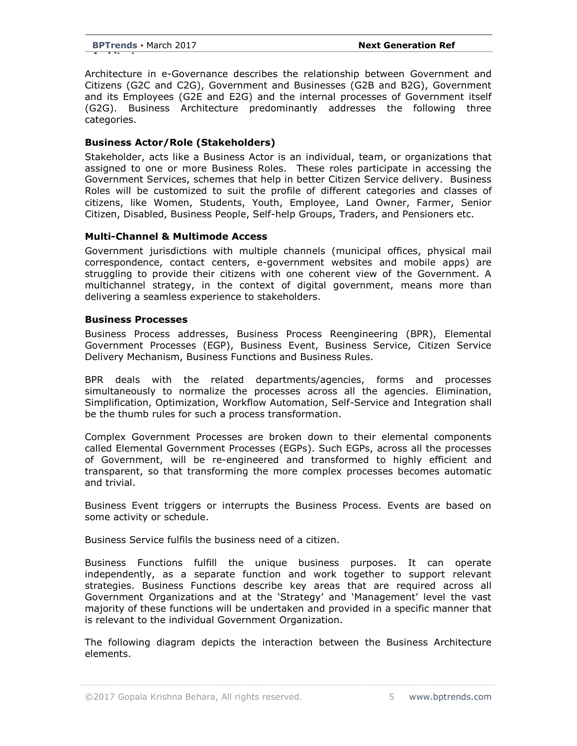**BPTrends ▪** March 2017 **Next Generation Ref** 

**Architecture**

Architecture in e-Governance describes the relationship between Government and Citizens (G2C and C2G), Government and Businesses (G2B and B2G), Government and its Employees (G2E and E2G) and the internal processes of Government itself (G2G). Business Architecture predominantly addresses the following three categories.

### **Business Actor/Role (Stakeholders)**

Stakeholder, acts like a Business Actor is an individual, team, or organizations that assigned to one or more Business Roles. These roles participate in accessing the Government Services, schemes that help in better Citizen Service delivery. Business Roles will be customized to suit the profile of different categories and classes of citizens, like Women, Students, Youth, Employee, Land Owner, Farmer, Senior Citizen, Disabled, Business People, Self-help Groups, Traders, and Pensioners etc.

#### **Multi-Channel & Multimode Access**

Government jurisdictions with multiple channels (municipal offices, physical mail correspondence, contact centers, e-government websites and mobile apps) are struggling to provide their citizens with one coherent view of the Government. A multichannel strategy, in the context of digital government, means more than delivering a seamless experience to stakeholders.

#### **Business Processes**

Business Process addresses, Business Process Reengineering (BPR), Elemental Government Processes (EGP), Business Event, Business Service, Citizen Service Delivery Mechanism, Business Functions and Business Rules.

BPR deals with the related departments/agencies, forms and processes simultaneously to normalize the processes across all the agencies. Elimination, Simplification, Optimization, Workflow Automation, Self-Service and Integration shall be the thumb rules for such a process transformation.

Complex Government Processes are broken down to their elemental components called Elemental Government Processes (EGPs). Such EGPs, across all the processes of Government, will be re-engineered and transformed to highly efficient and transparent, so that transforming the more complex processes becomes automatic and trivial.

Business Event triggers or interrupts the Business Process. Events are based on some activity or schedule.

Business Service fulfils the business need of a citizen.

Business Functions fulfill the unique business purposes. It can operate independently, as a separate function and work together to support relevant strategies. Business Functions describe key areas that are required across all Government Organizations and at the 'Strategy' and 'Management' level the vast majority of these functions will be undertaken and provided in a specific manner that is relevant to the individual Government Organization.

The following diagram depicts the interaction between the Business Architecture elements.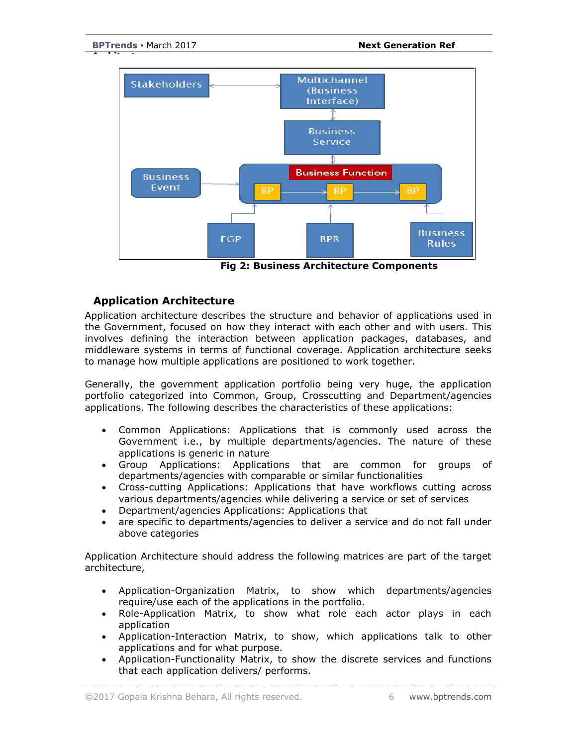

**Fig 2: Business Architecture Components**

# **Application Architecture**

Application architecture describes the structure and behavior of applications used in the Government, focused on how they interact with each other and with users. This involves defining the interaction between application packages, databases, and middleware systems in terms of functional coverage. Application architecture seeks to manage how multiple applications are positioned to work together.

Generally, the government application portfolio being very huge, the application portfolio categorized into Common, Group, Crosscutting and Department/agencies applications. The following describes the characteristics of these applications:

- Common Applications: Applications that is commonly used across the Government i.e., by multiple departments/agencies. The nature of these applications is generic in nature
- Group Applications: Applications that are common for groups of departments/agencies with comparable or similar functionalities
- Cross-cutting Applications: Applications that have workflows cutting across various departments/agencies while delivering a service or set of services
- Department/agencies Applications: Applications that
- are specific to departments/agencies to deliver a service and do not fall under above categories

Application Architecture should address the following matrices are part of the target architecture,

- Application-Organization Matrix, to show which departments/agencies require/use each of the applications in the portfolio.
- Role-Application Matrix, to show what role each actor plays in each application
- Application-Interaction Matrix, to show, which applications talk to other applications and for what purpose.
- Application-Functionality Matrix, to show the discrete services and functions that each application delivers/ performs.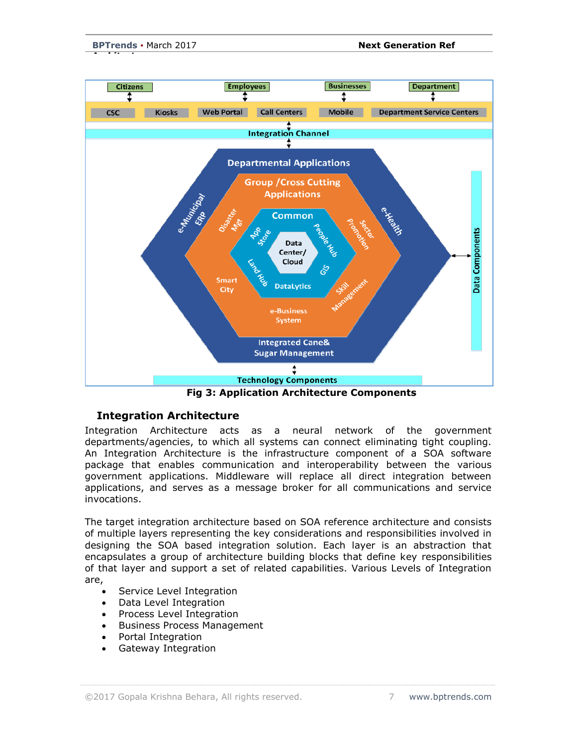

**Fig 3: Application Architecture Components**

# **Integration Architecture**

Integration Architecture acts as a neural network of the government departments/agencies, to which all systems can connect eliminating tight coupling. An Integration Architecture is the infrastructure component of a SOA software package that enables communication and interoperability between the various government applications. Middleware will replace all direct integration between applications, and serves as a message broker for all communications and service invocations.

The target integration architecture based on SOA reference architecture and consists of multiple layers representing the key considerations and responsibilities involved in designing the SOA based integration solution. Each layer is an abstraction that encapsulates a group of architecture building blocks that define key responsibilities of that layer and support a set of related capabilities. Various Levels of Integration are,

- Service Level Integration
- Data Level Integration
- Process Level Integration
- Business Process Management
- Portal Integration
- Gateway Integration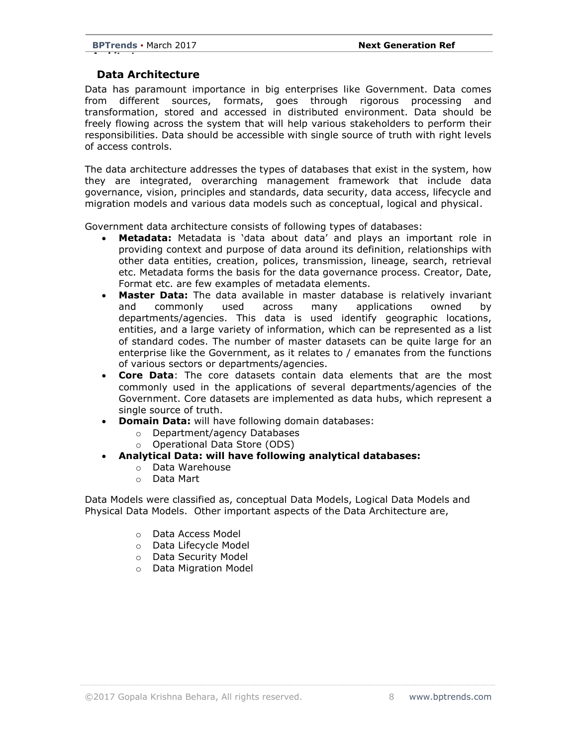## **Data Architecture**

Data has paramount importance in big enterprises like Government. Data comes from different sources, formats, goes through rigorous processing and transformation, stored and accessed in distributed environment. Data should be freely flowing across the system that will help various stakeholders to perform their responsibilities. Data should be accessible with single source of truth with right levels of access controls.

The data architecture addresses the types of databases that exist in the system, how they are integrated, overarching management framework that include data governance, vision, principles and standards, data security, data access, lifecycle and migration models and various data models such as conceptual, logical and physical.

Government data architecture consists of following types of databases:

- **Metadata:** Metadata is 'data about data' and plays an important role in providing context and purpose of data around its definition, relationships with other data entities, creation, polices, transmission, lineage, search, retrieval etc. Metadata forms the basis for the data governance process. Creator, Date, Format etc. are few examples of metadata elements.
- **Master Data:** The data available in master database is relatively invariant and commonly used across many applications owned by departments/agencies. This data is used identify geographic locations, entities, and a large variety of information, which can be represented as a list of standard codes. The number of master datasets can be quite large for an enterprise like the Government, as it relates to / emanates from the functions of various sectors or departments/agencies.
- **Core Data**: The core datasets contain data elements that are the most commonly used in the applications of several departments/agencies of the Government. Core datasets are implemented as data hubs, which represent a single source of truth.
- **Domain Data:** will have following domain databases:
	- o Department/agency Databases
	- o Operational Data Store (ODS)
- **Analytical Data: will have following analytical databases:**
	- o Data Warehouse
	- o Data Mart

Data Models were classified as, conceptual Data Models, Logical Data Models and Physical Data Models. Other important aspects of the Data Architecture are,

- o Data Access Model
- o Data Lifecycle Model
- o Data Security Model
- o Data Migration Model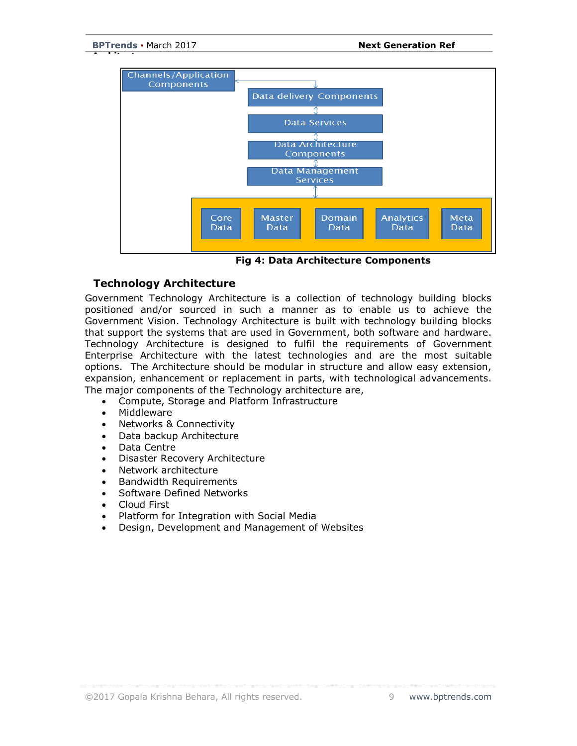

**Fig 4: Data Architecture Components**

#### **Technology Architecture**

Government Technology Architecture is a collection of technology building blocks positioned and/or sourced in such a manner as to enable us to achieve the Government Vision. Technology Architecture is built with technology building blocks that support the systems that are used in Government, both software and hardware. Technology Architecture is designed to fulfil the requirements of Government Enterprise Architecture with the latest technologies and are the most suitable options. The Architecture should be modular in structure and allow easy extension, expansion, enhancement or replacement in parts, with technological advancements. The major components of the Technology architecture are,

- Compute, Storage and Platform Infrastructure
- Middleware
- Networks & Connectivity
- Data backup Architecture
- Data Centre
- Disaster Recovery Architecture
- Network architecture
- Bandwidth Requirements
- Software Defined Networks
- Cloud First
- Platform for Integration with Social Media
- Design, Development and Management of Websites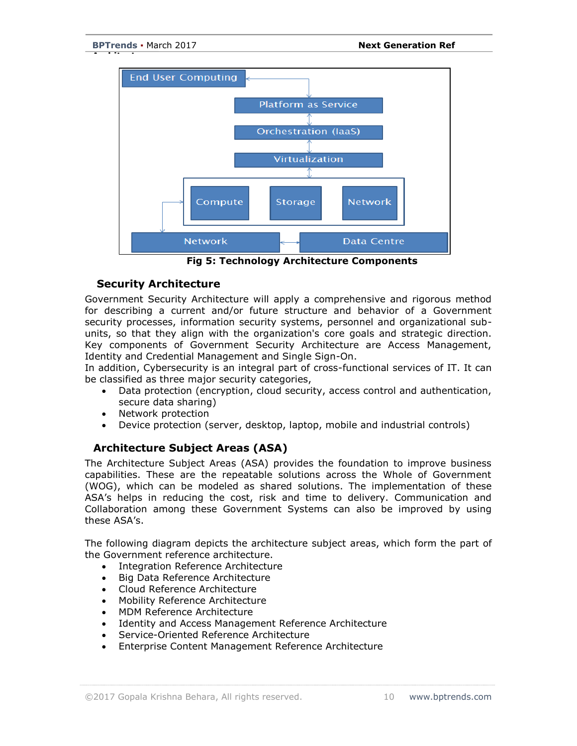

**Fig 5: Technology Architecture Components**

## **Security Architecture**

Government Security Architecture will apply a comprehensive and rigorous method for describing a current and/or future structure and behavior of a Government security processes, information security systems, personnel and organizational subunits, so that they align with the organization's core goals and strategic direction. Key components of Government Security Architecture are Access Management, Identity and Credential Management and Single Sign-On.

In addition, Cybersecurity is an integral part of cross-functional services of IT. It can be classified as three major security categories,

- Data protection (encryption, cloud security, access control and authentication, secure data sharing)
- Network protection
- Device protection (server, desktop, laptop, mobile and industrial controls)

# **Architecture Subject Areas (ASA)**

The Architecture Subject Areas (ASA) provides the foundation to improve business capabilities. These are the repeatable solutions across the Whole of Government (WOG), which can be modeled as shared solutions. The implementation of these ASA's helps in reducing the cost, risk and time to delivery. Communication and Collaboration among these Government Systems can also be improved by using these ASA's.

The following diagram depicts the architecture subject areas, which form the part of the Government reference architecture.

- Integration Reference Architecture
- Big Data Reference Architecture
- Cloud Reference Architecture
- Mobility Reference Architecture
- MDM Reference Architecture
- Identity and Access Management Reference Architecture
- Service-Oriented Reference Architecture
- Enterprise Content Management Reference Architecture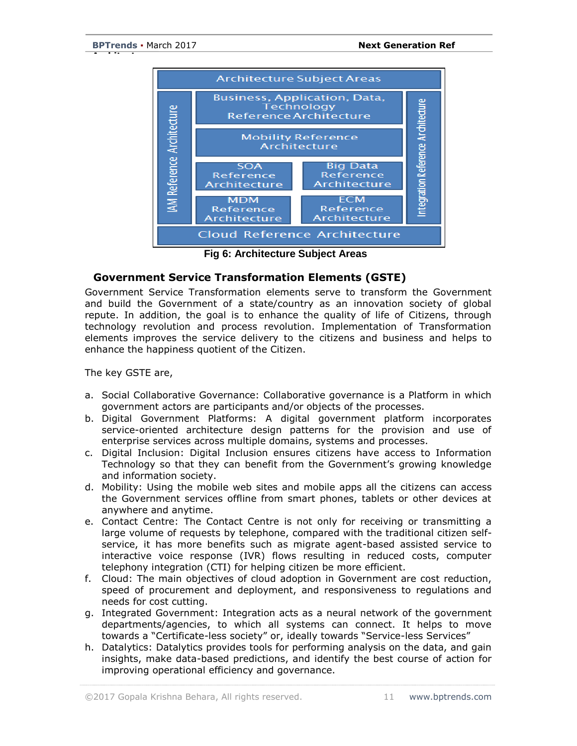

 **Fig 6: Architecture Subject Areas**

# **Government Service Transformation Elements (GSTE)**

Government Service Transformation elements serve to transform the Government and build the Government of a state/country as an innovation society of global repute. In addition, the goal is to enhance the quality of life of Citizens, through technology revolution and process revolution. Implementation of Transformation elements improves the service delivery to the citizens and business and helps to enhance the happiness quotient of the Citizen.

The key GSTE are,

- a. Social Collaborative Governance: Collaborative governance is a Platform in which government actors are participants and/or objects of the processes.
- b. Digital Government Platforms: A digital government platform incorporates service-oriented architecture design patterns for the provision and use of enterprise services across multiple domains, systems and processes.
- c. Digital Inclusion: Digital Inclusion ensures citizens have access to Information Technology so that they can benefit from the Government's growing knowledge and information society.
- d. Mobility: Using the mobile web sites and mobile apps all the citizens can access the Government services offline from smart phones, tablets or other devices at anywhere and anytime.
- e. Contact Centre: The Contact Centre is not only for receiving or transmitting a large volume of requests by telephone, compared with the traditional citizen selfservice, it has more benefits such as migrate agent-based assisted service to interactive voice response (IVR) flows resulting in reduced costs, computer telephony integration (CTI) for helping citizen be more efficient.
- f. Cloud: The main objectives of cloud adoption in Government are cost reduction, speed of procurement and deployment, and responsiveness to regulations and needs for cost cutting.
- g. Integrated Government: Integration acts as a neural network of the government departments/agencies, to which all systems can connect. It helps to move towards a "Certificate-less society" or, ideally towards "Service-less Services"
- h. Datalytics: Datalytics provides tools for performing analysis on the data, and gain insights, make data-based predictions, and identify the best course of action for improving operational efficiency and governance.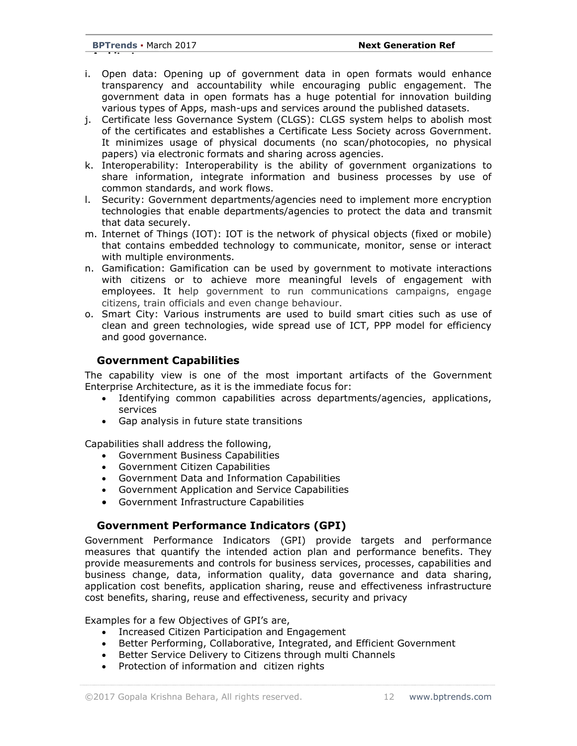**BPTrends ▪** March 2017 **Next Generation Ref** 

**Architecture**

- i. Open data: Opening up of government data in open formats would enhance transparency and accountability while encouraging public engagement. The government data in open formats has a huge potential for innovation building various types of Apps, mash-ups and services around the published datasets.
- j. Certificate less Governance System (CLGS): CLGS system helps to abolish most of the certificates and establishes a Certificate Less Society across Government. It minimizes usage of physical documents (no scan/photocopies, no physical papers) via electronic formats and sharing across agencies.
- k. Interoperability: Interoperability is the ability of government organizations to share information, integrate information and business processes by use of common standards, and work flows.
- l. Security: Government departments/agencies need to implement more encryption technologies that enable departments/agencies to protect the data and transmit that data securely.
- m. Internet of Things (IOT): IOT is the network of physical objects (fixed or mobile) that contains embedded technology to communicate, monitor, sense or interact with multiple environments.
- n. Gamification: Gamification can be used by government to motivate interactions with citizens or to achieve more meaningful levels of engagement with employees. It help government to run communications campaigns, engage citizens, train officials and even change behaviour.
- o. Smart City: Various instruments are used to build smart cities such as use of clean and green technologies, wide spread use of ICT, PPP model for efficiency and good governance.

# **Government Capabilities**

The capability view is one of the most important artifacts of the Government Enterprise Architecture, as it is the immediate focus for:

- Identifying common capabilities across departments/agencies, applications, services
- Gap analysis in future state transitions

Capabilities shall address the following,

- Government Business Capabilities
- Government Citizen Capabilities
- Government Data and Information Capabilities
- Government Application and Service Capabilities
- Government Infrastructure Capabilities

## **Government Performance Indicators (GPI)**

Government Performance Indicators (GPI) provide targets and performance measures that quantify the intended action plan and performance benefits. They provide measurements and controls for business services, processes, capabilities and business change, data, information quality, data governance and data sharing, application cost benefits, application sharing, reuse and effectiveness infrastructure cost benefits, sharing, reuse and effectiveness, security and privacy

Examples for a few Objectives of GPI's are,

- Increased Citizen Participation and Engagement
- Better Performing, Collaborative, Integrated, and Efficient Government
- Better Service Delivery to Citizens through multi Channels
- Protection of information and citizen rights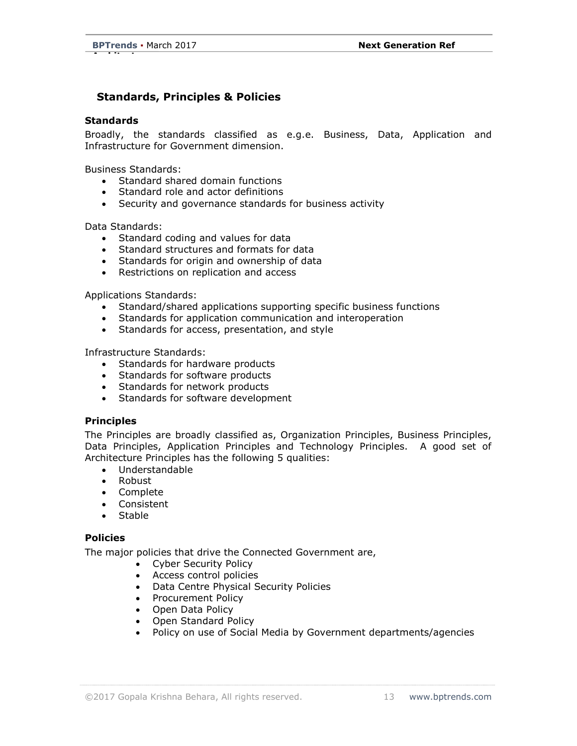# **Standards, Principles & Policies**

#### **Standards**

**Architecture**

Broadly, the standards classified as e.g.e. Business, Data, Application and Infrastructure for Government dimension.

Business Standards:

- Standard shared domain functions
- Standard role and actor definitions
- Security and governance standards for business activity

Data Standards:

- Standard coding and values for data
- Standard structures and formats for data
- Standards for origin and ownership of data
- Restrictions on replication and access

Applications Standards:

- Standard/shared applications supporting specific business functions
- Standards for application communication and interoperation
- Standards for access, presentation, and style

Infrastructure Standards:

- Standards for hardware products
- Standards for software products
- Standards for network products
- Standards for software development

#### **Principles**

The Principles are broadly classified as, Organization Principles, Business Principles, Data Principles, Application Principles and Technology Principles. A good set of Architecture Principles has the following 5 qualities:

- Understandable
- Robust
- Complete
- Consistent
- Stable

#### **Policies**

The major policies that drive the Connected Government are,

- Cyber Security Policy
- Access control policies
- Data Centre Physical Security Policies
- Procurement Policy
- Open Data Policy
- Open Standard Policy
- Policy on use of Social Media by Government departments/agencies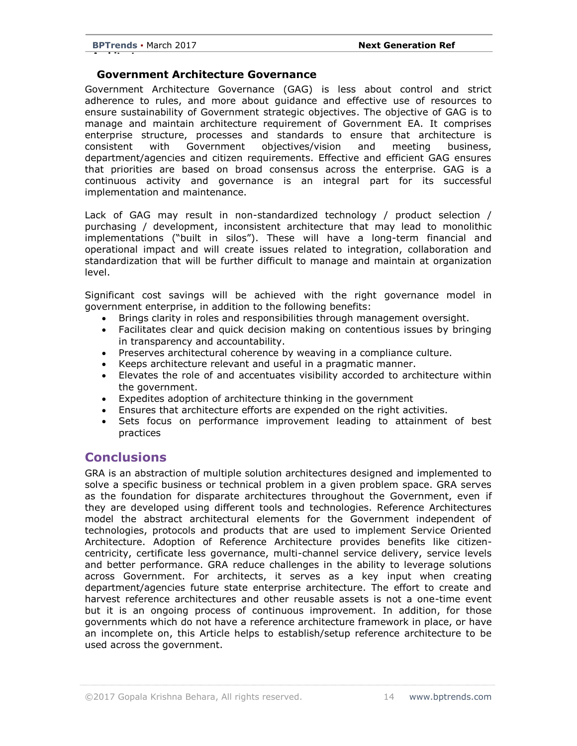#### **Government Architecture Governance**

Government Architecture Governance (GAG) is less about control and strict adherence to rules, and more about guidance and effective use of resources to ensure sustainability of Government strategic objectives. The objective of GAG is to manage and maintain architecture requirement of Government EA. It comprises enterprise structure, processes and standards to ensure that architecture is consistent with Government objectives/vision and meeting business, department/agencies and citizen requirements. Effective and efficient GAG ensures that priorities are based on broad consensus across the enterprise. GAG is a continuous activity and governance is an integral part for its successful implementation and maintenance.

Lack of GAG may result in non-standardized technology / product selection / purchasing / development, inconsistent architecture that may lead to monolithic implementations ("built in silos"). These will have a long-term financial and operational impact and will create issues related to integration, collaboration and standardization that will be further difficult to manage and maintain at organization level.

Significant cost savings will be achieved with the right governance model in government enterprise, in addition to the following benefits:

- Brings clarity in roles and responsibilities through management oversight.
- Facilitates clear and quick decision making on contentious issues by bringing in transparency and accountability.
- Preserves architectural coherence by weaving in a compliance culture.
- Keeps architecture relevant and useful in a pragmatic manner.
- Elevates the role of and accentuates visibility accorded to architecture within the government.
- Expedites adoption of architecture thinking in the government
- Ensures that architecture efforts are expended on the right activities.
- Sets focus on performance improvement leading to attainment of best practices

# **Conclusions**

GRA is an abstraction of multiple solution architectures designed and implemented to solve a specific business or technical problem in a given problem space. GRA serves as the foundation for disparate architectures throughout the Government, even if they are developed using different tools and technologies. Reference Architectures model the abstract architectural elements for the Government independent of technologies, protocols and products that are used to implement Service Oriented Architecture. Adoption of Reference Architecture provides benefits like citizencentricity, certificate less governance, multi-channel service delivery, service levels and better performance. GRA reduce challenges in the ability to leverage solutions across Government. For architects, it serves as a key input when creating department/agencies future state enterprise architecture. The effort to create and harvest reference architectures and other reusable assets is not a one-time event but it is an ongoing process of continuous improvement. In addition, for those governments which do not have a reference architecture framework in place, or have an incomplete on, this Article helps to establish/setup reference architecture to be used across the government.